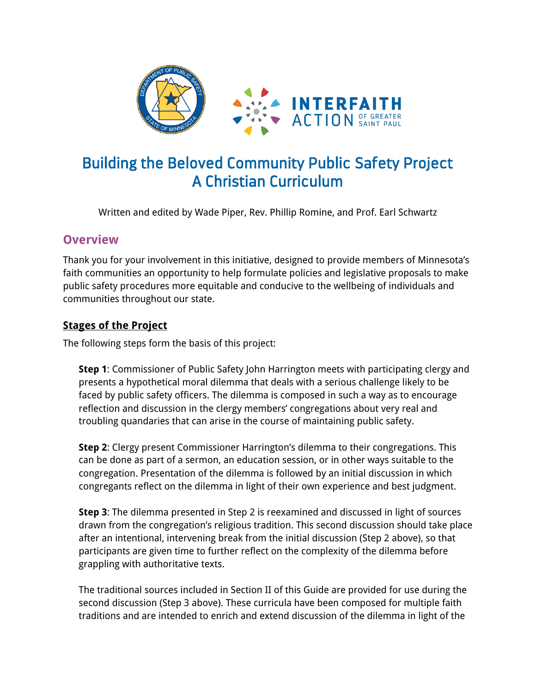

# Building the Beloved Community Public Safety Project A Christian Curriculum

Written and edited by Wade Piper, Rev. Phillip Romine, and Prof. Earl Schwartz

# **Overview**

Thank you for your involvement in this initiative, designed to provide members of Minnesota's faith communities an opportunity to help formulate policies and legislative proposals to make public safety procedures more equitable and conducive to the wellbeing of individuals and communities throughout our state.

# **Stages of the Project**

The following steps form the basis of this project:

**Step 1**: Commissioner of Public Safety John Harrington meets with participating clergy and presents a hypothetical moral dilemma that deals with a serious challenge likely to be faced by public safety officers. The dilemma is composed in such a way as to encourage reflection and discussion in the clergy members' congregations about very real and troubling quandaries that can arise in the course of maintaining public safety.

**Step 2**: Clergy present Commissioner Harrington's dilemma to their congregations. This can be done as part of a sermon, an education session, or in other ways suitable to the congregation. Presentation of the dilemma is followed by an initial discussion in which congregants reflect on the dilemma in light of their own experience and best judgment.

**Step 3**: The dilemma presented in Step 2 is reexamined and discussed in light of sources drawn from the congregation's religious tradition. This second discussion should take place after an intentional, intervening break from the initial discussion (Step 2 above), so that participants are given time to further reflect on the complexity of the dilemma before grappling with authoritative texts.

The traditional sources included in Section II of this Guide are provided for use during the second discussion (Step 3 above). These curricula have been composed for multiple faith traditions and are intended to enrich and extend discussion of the dilemma in light of the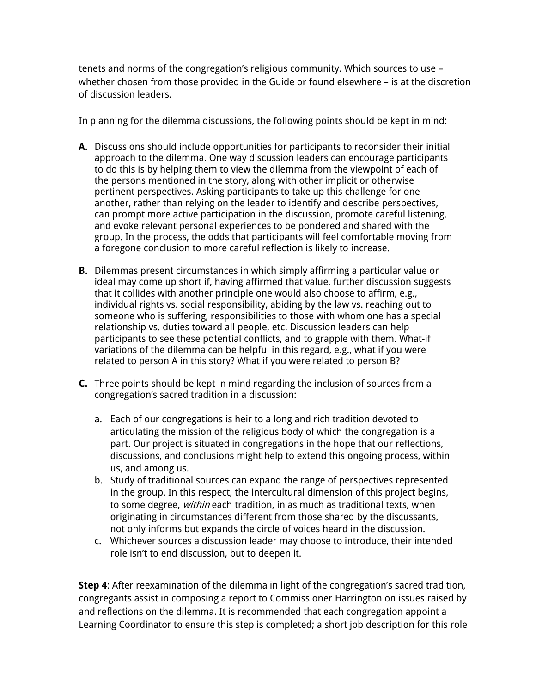tenets and norms of the congregation's religious community. Which sources to use – whether chosen from those provided in the Guide or found elsewhere – is at the discretion of discussion leaders.

In planning for the dilemma discussions, the following points should be kept in mind:

- **A.** Discussions should include opportunities for participants to reconsider their initial approach to the dilemma. One way discussion leaders can encourage participants to do this is by helping them to view the dilemma from the viewpoint of each of the persons mentioned in the story, along with other implicit or otherwise pertinent perspectives. Asking participants to take up this challenge for one another, rather than relying on the leader to identify and describe perspectives, can prompt more active participation in the discussion, promote careful listening, and evoke relevant personal experiences to be pondered and shared with the group. In the process, the odds that participants will feel comfortable moving from a foregone conclusion to more careful reflection is likely to increase.
- **B.** Dilemmas present circumstances in which simply affirming a particular value or ideal may come up short if, having affirmed that value, further discussion suggests that it collides with another principle one would also choose to affirm, e.g., individual rights vs. social responsibility, abiding by the law vs. reaching out to someone who is suffering, responsibilities to those with whom one has a special relationship vs. duties toward all people, etc. Discussion leaders can help participants to see these potential conflicts, and to grapple with them. What-if variations of the dilemma can be helpful in this regard, e.g., what if you were related to person A in this story? What if you were related to person B?
- **C.** Three points should be kept in mind regarding the inclusion of sources from a congregation's sacred tradition in a discussion:
	- a. Each of our congregations is heir to a long and rich tradition devoted to articulating the mission of the religious body of which the congregation is a part. Our project is situated in congregations in the hope that our reflections, discussions, and conclusions might help to extend this ongoing process, within us, and among us.
	- b. Study of traditional sources can expand the range of perspectives represented in the group. In this respect, the intercultural dimension of this project begins, to some degree, within each tradition, in as much as traditional texts, when originating in circumstances different from those shared by the discussants, not only informs but expands the circle of voices heard in the discussion.
	- c. Whichever sources a discussion leader may choose to introduce, their intended role isn't to end discussion, but to deepen it.

**Step 4**: After reexamination of the dilemma in light of the congregation's sacred tradition, congregants assist in composing a report to Commissioner Harrington on issues raised by and reflections on the dilemma. It is recommended that each congregation appoint a Learning Coordinator to ensure this step is completed; a short job description for this role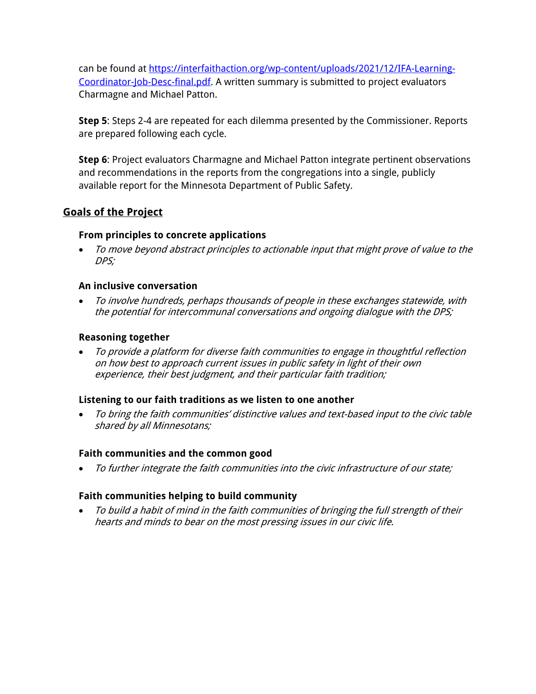can be found at https://interfaithaction.org/wp-content/uploads/2021/12/IFA-Learning-Coordinator-Job-Desc-final.pdf. A written summary is submitted to project evaluators Charmagne and Michael Patton.

**Step 5**: Steps 2-4 are repeated for each dilemma presented by the Commissioner. Reports are prepared following each cycle.

**Step 6**: Project evaluators Charmagne and Michael Patton integrate pertinent observations and recommendations in the reports from the congregations into a single, publicly available report for the Minnesota Department of Public Safety.

# **Goals of the Project**

#### **From principles to concrete applications**

• To move beyond abstract principles to actionable input that might prove of value to the DPS;

#### **An inclusive conversation**

• To involve hundreds, perhaps thousands of people in these exchanges statewide, with the potential for intercommunal conversations and ongoing dialogue with the DPS;

#### **Reasoning together**

• To provide a platform for diverse faith communities to engage in thoughtful reflection on how best to approach current issues in public safety in light of their own experience, their best judgment, and their particular faith tradition;

#### **Listening to our faith traditions as we listen to one another**

• To bring the faith communities' distinctive values and text-based input to the civic table shared by all Minnesotans;

#### **Faith communities and the common good**

• To further integrate the faith communities into the civic infrastructure of our state;

#### **Faith communities helping to build community**

• To build a habit of mind in the faith communities of bringing the full strength of their hearts and minds to bear on the most pressing issues in our civic life.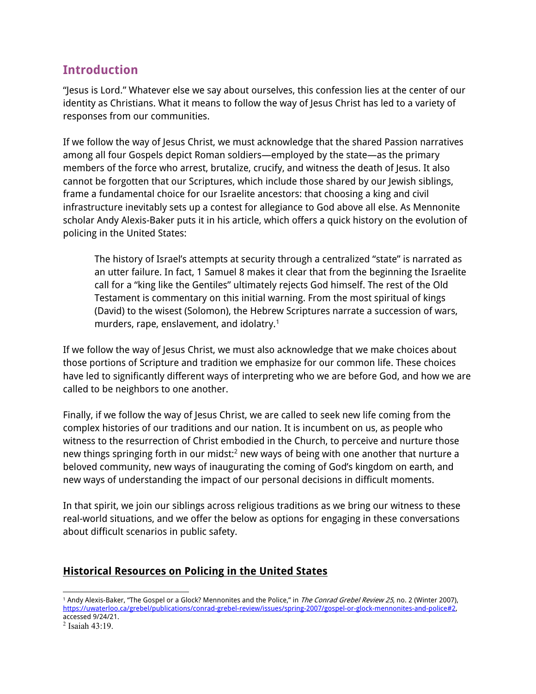# **Introduction**

"Jesus is Lord." Whatever else we say about ourselves, this confession lies at the center of our identity as Christians. What it means to follow the way of Jesus Christ has led to a variety of responses from our communities.

If we follow the way of Jesus Christ, we must acknowledge that the shared Passion narratives among all four Gospels depict Roman soldiers—employed by the state—as the primary members of the force who arrest, brutalize, crucify, and witness the death of Jesus. It also cannot be forgotten that our Scriptures, which include those shared by our Jewish siblings, frame a fundamental choice for our Israelite ancestors: that choosing a king and civil infrastructure inevitably sets up a contest for allegiance to God above all else. As Mennonite scholar Andy Alexis-Baker puts it in his article, which offers a quick history on the evolution of policing in the United States:

The history of Israel's attempts at security through a centralized "state" is narrated as an utter failure. In fact, 1 Samuel 8 makes it clear that from the beginning the Israelite call for a "king like the Gentiles" ultimately rejects God himself. The rest of the Old Testament is commentary on this initial warning. From the most spiritual of kings (David) to the wisest (Solomon), the Hebrew Scriptures narrate a succession of wars, murders, rape, enslavement, and idolatry.<sup>1</sup>

If we follow the way of Jesus Christ, we must also acknowledge that we make choices about those portions of Scripture and tradition we emphasize for our common life. These choices have led to significantly different ways of interpreting who we are before God, and how we are called to be neighbors to one another.

Finally, if we follow the way of Jesus Christ, we are called to seek new life coming from the complex histories of our traditions and our nation. It is incumbent on us, as people who witness to the resurrection of Christ embodied in the Church, to perceive and nurture those new things springing forth in our midst:<sup>2</sup> new ways of being with one another that nurture a beloved community, new ways of inaugurating the coming of God's kingdom on earth, and new ways of understanding the impact of our personal decisions in difficult moments.

In that spirit, we join our siblings across religious traditions as we bring our witness to these real-world situations, and we offer the below as options for engaging in these conversations about difficult scenarios in public safety.

# **Historical Resources on Policing in the United States**

<sup>&</sup>lt;sup>1</sup> Andy Alexis-Baker, "The Gospel or a Glock? Mennonites and the Police," in *The Conrad Grebel Review 25*, no. 2 (Winter 2007), https://uwaterloo.ca/grebel/publications/conrad-grebel-review/issues/spring-2007/gospel-or-glock-mennonites-and-police#2, accessed 9/24/21.

<sup>2</sup> Isaiah 43:19.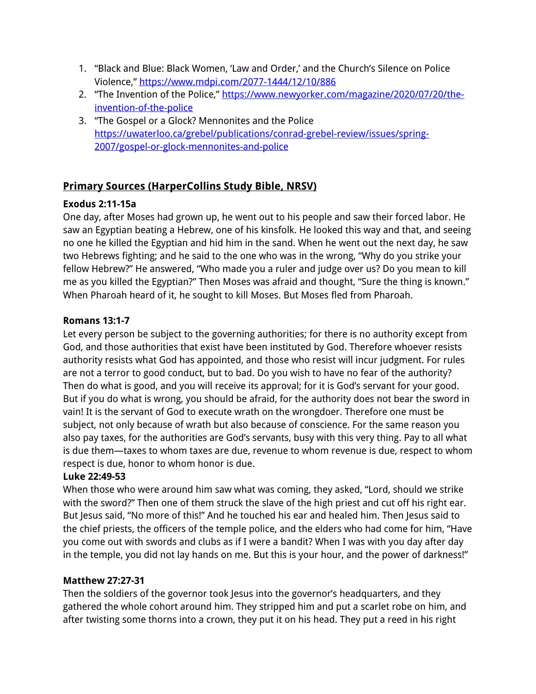- 1. "Black and Blue: Black Women, 'Law and Order,' and the Church's Silence on Police Violence," https://www.mdpi.com/2077-1444/12/10/886
- 2. "The Invention of the Police," https://www.newyorker.com/magazine/2020/07/20/theinvention-of-the-police
- 3. "The Gospel or a Glock? Mennonites and the Police https://uwaterloo.ca/grebel/publications/conrad-grebel-review/issues/spring-2007/gospel-or-glock-mennonites-and-police

# **Primary Sources (HarperCollins Study Bible, NRSV)**

# **Exodus 2:11-15a**

One day, after Moses had grown up, he went out to his people and saw their forced labor. He saw an Egyptian beating a Hebrew, one of his kinsfolk. He looked this way and that, and seeing no one he killed the Egyptian and hid him in the sand. When he went out the next day, he saw two Hebrews fighting; and he said to the one who was in the wrong, "Why do you strike your fellow Hebrew?" He answered, "Who made you a ruler and judge over us? Do you mean to kill me as you killed the Egyptian?" Then Moses was afraid and thought, "Sure the thing is known." When Pharoah heard of it, he sought to kill Moses. But Moses fled from Pharoah.

# **Romans 13:1-7**

Let every person be subject to the governing authorities; for there is no authority except from God, and those authorities that exist have been instituted by God. Therefore whoever resists authority resists what God has appointed, and those who resist will incur judgment. For rules are not a terror to good conduct, but to bad. Do you wish to have no fear of the authority? Then do what is good, and you will receive its approval; for it is God's servant for your good. But if you do what is wrong, you should be afraid, for the authority does not bear the sword in vain! It is the servant of God to execute wrath on the wrongdoer. Therefore one must be subject, not only because of wrath but also because of conscience. For the same reason you also pay taxes, for the authorities are God's servants, busy with this very thing. Pay to all what is due them—taxes to whom taxes are due, revenue to whom revenue is due, respect to whom respect is due, honor to whom honor is due.

# **Luke 22:49-53**

When those who were around him saw what was coming, they asked, "Lord, should we strike with the sword?" Then one of them struck the slave of the high priest and cut off his right ear. But Jesus said, "No more of this!" And he touched his ear and healed him. Then Jesus said to the chief priests, the officers of the temple police, and the elders who had come for him, "Have you come out with swords and clubs as if I were a bandit? When I was with you day after day in the temple, you did not lay hands on me. But this is your hour, and the power of darkness!"

## **Matthew 27:27-31**

Then the soldiers of the governor took Jesus into the governor's headquarters, and they gathered the whole cohort around him. They stripped him and put a scarlet robe on him, and after twisting some thorns into a crown, they put it on his head. They put a reed in his right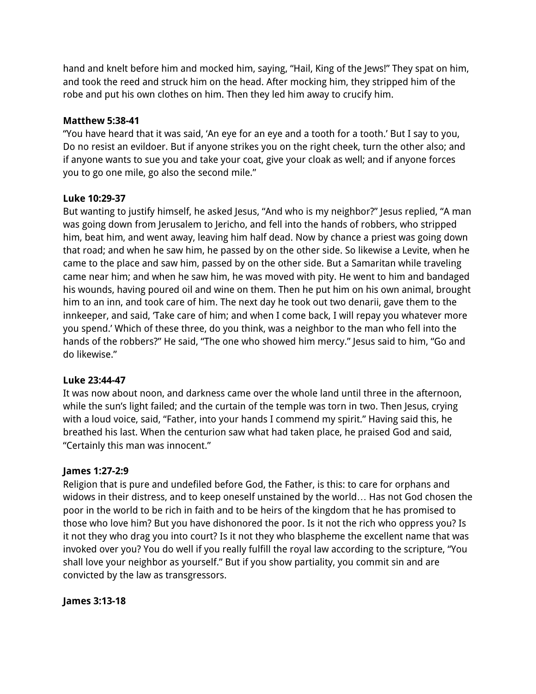hand and knelt before him and mocked him, saying, "Hail, King of the Jews!" They spat on him, and took the reed and struck him on the head. After mocking him, they stripped him of the robe and put his own clothes on him. Then they led him away to crucify him.

#### **Matthew 5:38-41**

"You have heard that it was said, 'An eye for an eye and a tooth for a tooth.' But I say to you, Do no resist an evildoer. But if anyone strikes you on the right cheek, turn the other also; and if anyone wants to sue you and take your coat, give your cloak as well; and if anyone forces you to go one mile, go also the second mile."

## **Luke 10:29-37**

But wanting to justify himself, he asked Jesus, "And who is my neighbor?" Jesus replied, "A man was going down from Jerusalem to Jericho, and fell into the hands of robbers, who stripped him, beat him, and went away, leaving him half dead. Now by chance a priest was going down that road; and when he saw him, he passed by on the other side. So likewise a Levite, when he came to the place and saw him, passed by on the other side. But a Samaritan while traveling came near him; and when he saw him, he was moved with pity. He went to him and bandaged his wounds, having poured oil and wine on them. Then he put him on his own animal, brought him to an inn, and took care of him. The next day he took out two denarii, gave them to the innkeeper, and said, 'Take care of him; and when I come back, I will repay you whatever more you spend.' Which of these three, do you think, was a neighbor to the man who fell into the hands of the robbers?" He said, "The one who showed him mercy." Jesus said to him, "Go and do likewise."

#### **Luke 23:44-47**

It was now about noon, and darkness came over the whole land until three in the afternoon, while the sun's light failed; and the curtain of the temple was torn in two. Then Jesus, crying with a loud voice, said, "Father, into your hands I commend my spirit." Having said this, he breathed his last. When the centurion saw what had taken place, he praised God and said, "Certainly this man was innocent."

#### **James 1:27-2:9**

Religion that is pure and undefiled before God, the Father, is this: to care for orphans and widows in their distress, and to keep oneself unstained by the world… Has not God chosen the poor in the world to be rich in faith and to be heirs of the kingdom that he has promised to those who love him? But you have dishonored the poor. Is it not the rich who oppress you? Is it not they who drag you into court? Is it not they who blaspheme the excellent name that was invoked over you? You do well if you really fulfill the royal law according to the scripture, "You shall love your neighbor as yourself." But if you show partiality, you commit sin and are convicted by the law as transgressors.

## **James 3:13-18**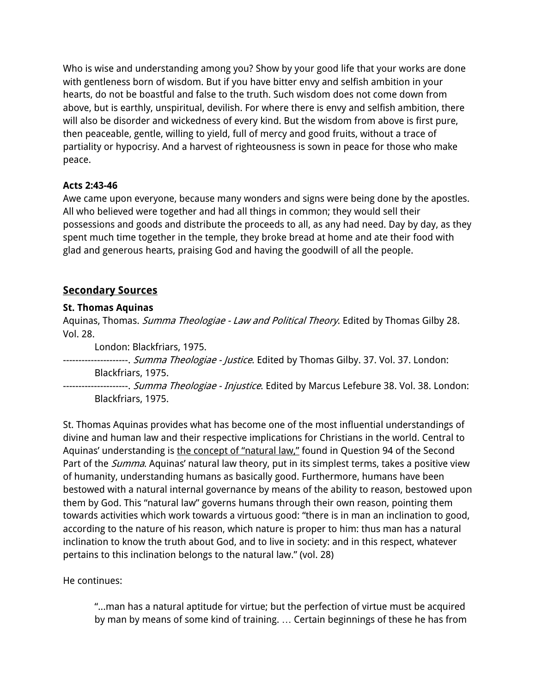Who is wise and understanding among you? Show by your good life that your works are done with gentleness born of wisdom. But if you have bitter envy and selfish ambition in your hearts, do not be boastful and false to the truth. Such wisdom does not come down from above, but is earthly, unspiritual, devilish. For where there is envy and selfish ambition, there will also be disorder and wickedness of every kind. But the wisdom from above is first pure, then peaceable, gentle, willing to yield, full of mercy and good fruits, without a trace of partiality or hypocrisy. And a harvest of righteousness is sown in peace for those who make peace.

#### **Acts 2:43-46**

Awe came upon everyone, because many wonders and signs were being done by the apostles. All who believed were together and had all things in common; they would sell their possessions and goods and distribute the proceeds to all, as any had need. Day by day, as they spent much time together in the temple, they broke bread at home and ate their food with glad and generous hearts, praising God and having the goodwill of all the people.

# **Secondary Sources**

## **St. Thomas Aquinas**

Aquinas, Thomas. Summa Theologiae - Law and Political Theory. Edited by Thomas Gilby 28. Vol. 28.

London: Blackfriars, 1975.

--------------------. Summa Theologiae - Justice. Edited by Thomas Gilby. 37. Vol. 37. London: Blackfriars, 1975.

---------------------. Summa Theologiae - Injustice. Edited by Marcus Lefebure 38. Vol. 38. London: Blackfriars, 1975.

St. Thomas Aquinas provides what has become one of the most influential understandings of divine and human law and their respective implications for Christians in the world. Central to Aquinas' understanding is the concept of "natural law," found in Question 94 of the Second Part of the *Summa*. Aquinas' natural law theory, put in its simplest terms, takes a positive view of humanity, understanding humans as basically good. Furthermore, humans have been bestowed with a natural internal governance by means of the ability to reason, bestowed upon them by God. This "natural law" governs humans through their own reason, pointing them towards activities which work towards a virtuous good: "there is in man an inclination to good, according to the nature of his reason, which nature is proper to him: thus man has a natural inclination to know the truth about God, and to live in society: and in this respect, whatever pertains to this inclination belongs to the natural law." (vol. 28)

He continues:

"...man has a natural aptitude for virtue; but the perfection of virtue must be acquired by man by means of some kind of training. … Certain beginnings of these he has from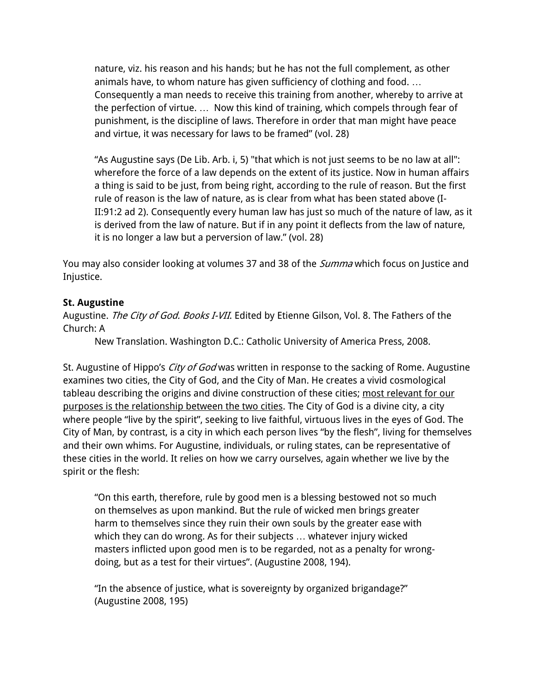nature, viz. his reason and his hands; but he has not the full complement, as other animals have, to whom nature has given sufficiency of clothing and food. … Consequently a man needs to receive this training from another, whereby to arrive at the perfection of virtue. … Now this kind of training, which compels through fear of punishment, is the discipline of laws. Therefore in order that man might have peace and virtue, it was necessary for laws to be framed" (vol. 28)

"As Augustine says (De Lib. Arb. i, 5) "that which is not just seems to be no law at all": wherefore the force of a law depends on the extent of its justice. Now in human affairs a thing is said to be just, from being right, according to the rule of reason. But the first rule of reason is the law of nature, as is clear from what has been stated above (I-II:91:2 ad 2). Consequently every human law has just so much of the nature of law, as it is derived from the law of nature. But if in any point it deflects from the law of nature, it is no longer a law but a perversion of law." (vol. 28)

You may also consider looking at volumes 37 and 38 of the *Summa* which focus on Justice and Injustice.

#### **St. Augustine**

Augustine. The City of God. Books I-VII. Edited by Etienne Gilson, Vol. 8. The Fathers of the Church: A

New Translation. Washington D.C.: Catholic University of America Press, 2008.

St. Augustine of Hippo's *City of God* was written in response to the sacking of Rome. Augustine examines two cities, the City of God, and the City of Man. He creates a vivid cosmological tableau describing the origins and divine construction of these cities; most relevant for our purposes is the relationship between the two cities. The City of God is a divine city, a city where people "live by the spirit", seeking to live faithful, virtuous lives in the eyes of God. The City of Man, by contrast, is a city in which each person lives "by the flesh", living for themselves and their own whims. For Augustine, individuals, or ruling states, can be representative of these cities in the world. It relies on how we carry ourselves, again whether we live by the spirit or the flesh:

"On this earth, therefore, rule by good men is a blessing bestowed not so much on themselves as upon mankind. But the rule of wicked men brings greater harm to themselves since they ruin their own souls by the greater ease with which they can do wrong. As for their subjects … whatever injury wicked masters inflicted upon good men is to be regarded, not as a penalty for wrongdoing, but as a test for their virtues". (Augustine 2008, 194).

"In the absence of justice, what is sovereignty by organized brigandage?" (Augustine 2008, 195)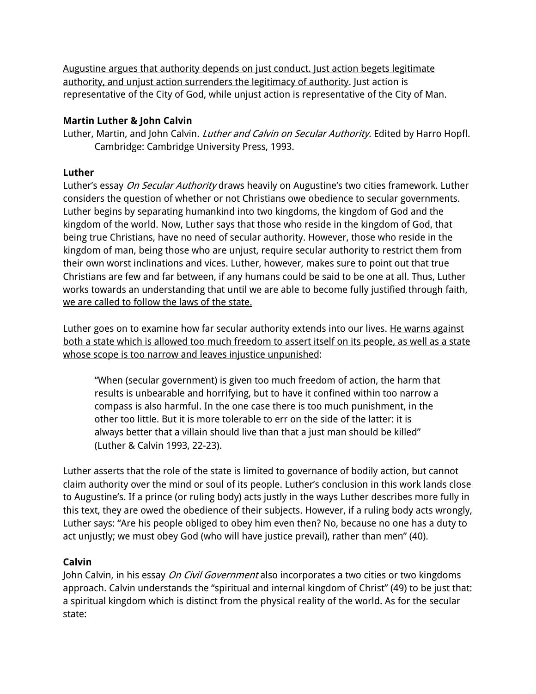Augustine argues that authority depends on just conduct. Just action begets legitimate authority, and unjust action surrenders the legitimacy of authority. Just action is representative of the City of God, while unjust action is representative of the City of Man.

## **Martin Luther & John Calvin**

Luther, Martin, and John Calvin. *Luther and Calvin on Secular Authority*. Edited by Harro Hopfl. Cambridge: Cambridge University Press, 1993.

# **Luther**

Luther's essay *On Secular Authority* draws heavily on Augustine's two cities framework. Luther considers the question of whether or not Christians owe obedience to secular governments. Luther begins by separating humankind into two kingdoms, the kingdom of God and the kingdom of the world. Now, Luther says that those who reside in the kingdom of God, that being true Christians, have no need of secular authority. However, those who reside in the kingdom of man, being those who are unjust, require secular authority to restrict them from their own worst inclinations and vices. Luther, however, makes sure to point out that true Christians are few and far between, if any humans could be said to be one at all. Thus, Luther works towards an understanding that until we are able to become fully justified through faith, we are called to follow the laws of the state.

Luther goes on to examine how far secular authority extends into our lives. He warns against both a state which is allowed too much freedom to assert itself on its people, as well as a state whose scope is too narrow and leaves injustice unpunished:

"When (secular government) is given too much freedom of action, the harm that results is unbearable and horrifying, but to have it confined within too narrow a compass is also harmful. In the one case there is too much punishment, in the other too little. But it is more tolerable to err on the side of the latter: it is always better that a villain should live than that a just man should be killed" (Luther & Calvin 1993, 22-23).

Luther asserts that the role of the state is limited to governance of bodily action, but cannot claim authority over the mind or soul of its people. Luther's conclusion in this work lands close to Augustine's. If a prince (or ruling body) acts justly in the ways Luther describes more fully in this text, they are owed the obedience of their subjects. However, if a ruling body acts wrongly, Luther says: "Are his people obliged to obey him even then? No, because no one has a duty to act unjustly; we must obey God (who will have justice prevail), rather than men" (40).

# **Calvin**

John Calvin, in his essay *On Civil Government* also incorporates a two cities or two kingdoms approach. Calvin understands the "spiritual and internal kingdom of Christ" (49) to be just that: a spiritual kingdom which is distinct from the physical reality of the world. As for the secular state: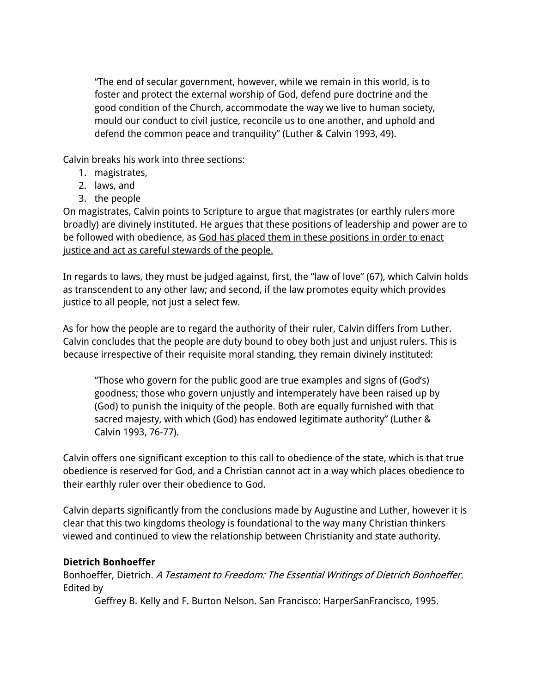"The end of secular government, however, while we remain in this world, is to foster and protect the external worship of God, defend pure doctrine and the good condition of the Church, accommodate the way we live to human society, mould our conduct to civil justice, reconcile us to one another, and uphold and defend the common peace and tranquility" (Luther & Calvin 1993, 49).

Calvin breaks his work into three sections:

- 1. magistrates,
- 2. laws, and
- 3. the people

On magistrates, Calvin points to Scripture to argue that magistrates (or earthly rulers more broadly) are divinely instituted. He argues that these positions of leadership and power are to be followed with obedience, as God has placed them in these positions in order to enact justice and act as careful stewards of the people.

In regards to laws, they must be judged against, first, the "law of love" (67), which Calvin holds as transcendent to any other law; and second, if the law promotes equity which provides justice to all people, not just a select few.

As for how the people are to regard the authority of their ruler, Calvin differs from Luther. Calvin concludes that the people are duty bound to obey both just and unjust rulers. This is because irrespective of their requisite moral standing, they remain divinely instituted:

"Those who govern for the public good are true examples and signs of (God's) goodness; those who govern unjustly and intemperately have been raised up by (God) to punish the iniquity of the people. Both are equally furnished with that sacred majesty, with which (God) has endowed legitimate authority" (Luther & Calvin 1993, 76-77).

Calvin offers one significant exception to this call to obedience of the state, which is that true obedience is reserved for God, and a Christian cannot act in a way which places obedience to their earthly ruler over their obedience to God.

Calvin departs significantly from the conclusions made by Augustine and Luther, however it is clear that this two kingdoms theology is foundational to the way many Christian thinkers viewed and continued to view the relationship between Christianity and state authority.

## **Dietrich Bonhoeffer**

Bonhoeffer, Dietrich. A Testament to Freedom: The Essential Writings of Dietrich Bonhoeffer. Edited by

Geffrey B. Kelly and F. Burton Nelson. San Francisco: HarperSanFrancisco, 1995.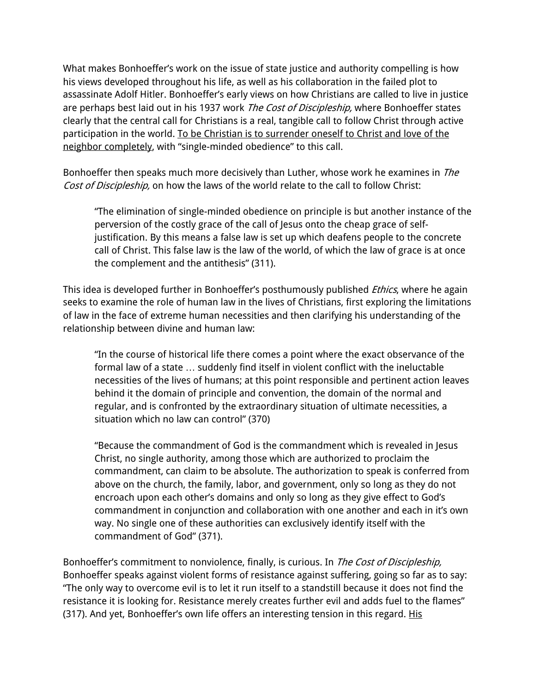What makes Bonhoeffer's work on the issue of state justice and authority compelling is how his views developed throughout his life, as well as his collaboration in the failed plot to assassinate Adolf Hitler. Bonhoeffer's early views on how Christians are called to live in justice are perhaps best laid out in his 1937 work The Cost of Discipleship, where Bonhoeffer states clearly that the central call for Christians is a real, tangible call to follow Christ through active participation in the world. To be Christian is to surrender oneself to Christ and love of the neighbor completely, with "single-minded obedience" to this call.

Bonhoeffer then speaks much more decisively than Luther, whose work he examines in The Cost of Discipleship, on how the laws of the world relate to the call to follow Christ:

"The elimination of single-minded obedience on principle is but another instance of the perversion of the costly grace of the call of Jesus onto the cheap grace of selfjustification. By this means a false law is set up which deafens people to the concrete call of Christ. This false law is the law of the world, of which the law of grace is at once the complement and the antithesis" (311).

This idea is developed further in Bonhoeffer's posthumously published *Ethics*, where he again seeks to examine the role of human law in the lives of Christians, first exploring the limitations of law in the face of extreme human necessities and then clarifying his understanding of the relationship between divine and human law:

"In the course of historical life there comes a point where the exact observance of the formal law of a state … suddenly find itself in violent conflict with the ineluctable necessities of the lives of humans; at this point responsible and pertinent action leaves behind it the domain of principle and convention, the domain of the normal and regular, and is confronted by the extraordinary situation of ultimate necessities, a situation which no law can control" (370)

"Because the commandment of God is the commandment which is revealed in Jesus Christ, no single authority, among those which are authorized to proclaim the commandment, can claim to be absolute. The authorization to speak is conferred from above on the church, the family, labor, and government, only so long as they do not encroach upon each other's domains and only so long as they give effect to God's commandment in conjunction and collaboration with one another and each in it's own way. No single one of these authorities can exclusively identify itself with the commandment of God" (371).

Bonhoeffer's commitment to nonviolence, finally, is curious. In The Cost of Discipleship, Bonhoeffer speaks against violent forms of resistance against suffering, going so far as to say: "The only way to overcome evil is to let it run itself to a standstill because it does not find the resistance it is looking for. Resistance merely creates further evil and adds fuel to the flames" (317). And yet, Bonhoeffer's own life offers an interesting tension in this regard. His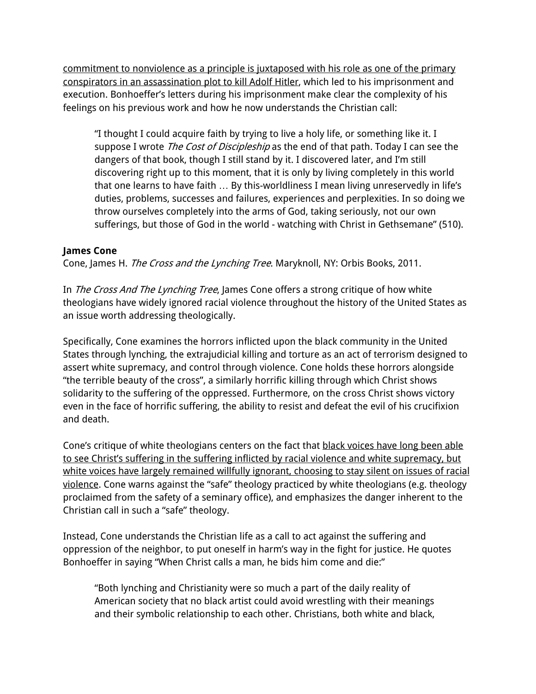commitment to nonviolence as a principle is juxtaposed with his role as one of the primary conspirators in an assassination plot to kill Adolf Hitler, which led to his imprisonment and execution. Bonhoeffer's letters during his imprisonment make clear the complexity of his feelings on his previous work and how he now understands the Christian call:

"I thought I could acquire faith by trying to live a holy life, or something like it. I suppose I wrote *The Cost of Discipleship* as the end of that path. Today I can see the dangers of that book, though I still stand by it. I discovered later, and I'm still discovering right up to this moment, that it is only by living completely in this world that one learns to have faith … By this-worldliness I mean living unreservedly in life's duties, problems, successes and failures, experiences and perplexities. In so doing we throw ourselves completely into the arms of God, taking seriously, not our own sufferings, but those of God in the world - watching with Christ in Gethsemane" (510).

#### **James Cone**

Cone, James H. The Cross and the Lynching Tree. Maryknoll, NY: Orbis Books, 2011.

In *The Cross And The Lynching Tree*, James Cone offers a strong critique of how white theologians have widely ignored racial violence throughout the history of the United States as an issue worth addressing theologically.

Specifically, Cone examines the horrors inflicted upon the black community in the United States through lynching, the extrajudicial killing and torture as an act of terrorism designed to assert white supremacy, and control through violence. Cone holds these horrors alongside "the terrible beauty of the cross", a similarly horrific killing through which Christ shows solidarity to the suffering of the oppressed. Furthermore, on the cross Christ shows victory even in the face of horrific suffering, the ability to resist and defeat the evil of his crucifixion and death.

Cone's critique of white theologians centers on the fact that black voices have long been able to see Christ's suffering in the suffering inflicted by racial violence and white supremacy, but white voices have largely remained willfully ignorant, choosing to stay silent on issues of racial violence. Cone warns against the "safe" theology practiced by white theologians (e.g. theology proclaimed from the safety of a seminary office), and emphasizes the danger inherent to the Christian call in such a "safe" theology.

Instead, Cone understands the Christian life as a call to act against the suffering and oppression of the neighbor, to put oneself in harm's way in the fight for justice. He quotes Bonhoeffer in saying "When Christ calls a man, he bids him come and die:"

"Both lynching and Christianity were so much a part of the daily reality of American society that no black artist could avoid wrestling with their meanings and their symbolic relationship to each other. Christians, both white and black,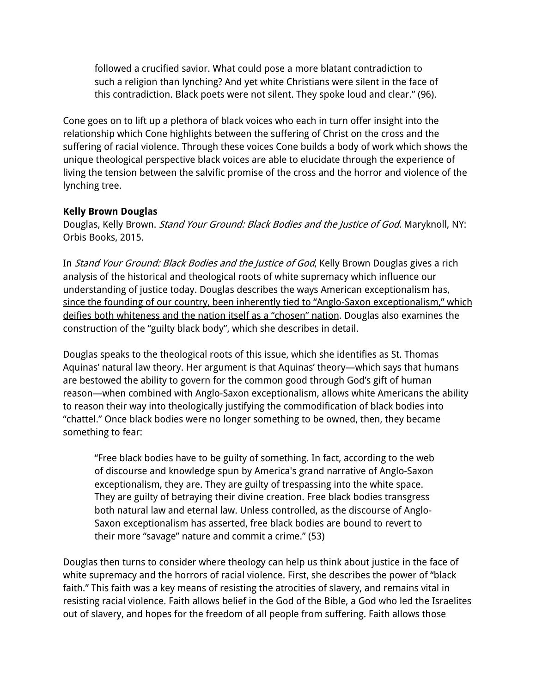followed a crucified savior. What could pose a more blatant contradiction to such a religion than lynching? And yet white Christians were silent in the face of this contradiction. Black poets were not silent. They spoke loud and clear." (96).

Cone goes on to lift up a plethora of black voices who each in turn offer insight into the relationship which Cone highlights between the suffering of Christ on the cross and the suffering of racial violence. Through these voices Cone builds a body of work which shows the unique theological perspective black voices are able to elucidate through the experience of living the tension between the salvific promise of the cross and the horror and violence of the lynching tree.

#### **Kelly Brown Douglas**

Douglas, Kelly Brown. Stand Your Ground: Black Bodies and the Justice of God. Maryknoll, NY: Orbis Books, 2015.

In Stand Your Ground: Black Bodies and the Justice of God, Kelly Brown Douglas gives a rich analysis of the historical and theological roots of white supremacy which influence our understanding of justice today. Douglas describes the ways American exceptionalism has, since the founding of our country, been inherently tied to "Anglo-Saxon exceptionalism," which deifies both whiteness and the nation itself as a "chosen" nation. Douglas also examines the construction of the "guilty black body", which she describes in detail.

Douglas speaks to the theological roots of this issue, which she identifies as St. Thomas Aquinas' natural law theory. Her argument is that Aquinas' theory—which says that humans are bestowed the ability to govern for the common good through God's gift of human reason—when combined with Anglo-Saxon exceptionalism, allows white Americans the ability to reason their way into theologically justifying the commodification of black bodies into "chattel." Once black bodies were no longer something to be owned, then, they became something to fear:

"Free black bodies have to be guilty of something. In fact, according to the web of discourse and knowledge spun by America's grand narrative of Anglo-Saxon exceptionalism, they are. They are guilty of trespassing into the white space. They are guilty of betraying their divine creation. Free black bodies transgress both natural law and eternal law. Unless controlled, as the discourse of Anglo-Saxon exceptionalism has asserted, free black bodies are bound to revert to their more "savage" nature and commit a crime." (53)

Douglas then turns to consider where theology can help us think about justice in the face of white supremacy and the horrors of racial violence. First, she describes the power of "black faith." This faith was a key means of resisting the atrocities of slavery, and remains vital in resisting racial violence. Faith allows belief in the God of the Bible, a God who led the Israelites out of slavery, and hopes for the freedom of all people from suffering. Faith allows those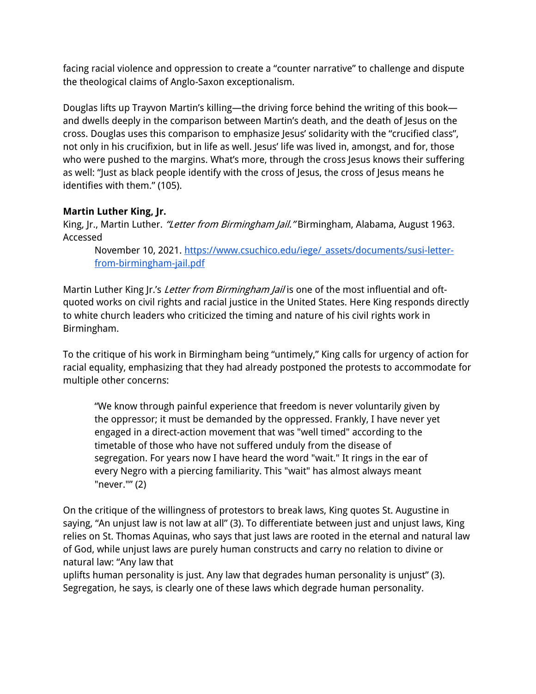facing racial violence and oppression to create a "counter narrative" to challenge and dispute the theological claims of Anglo-Saxon exceptionalism.

Douglas lifts up Trayvon Martin's killing—the driving force behind the writing of this book and dwells deeply in the comparison between Martin's death, and the death of Jesus on the cross. Douglas uses this comparison to emphasize Jesus' solidarity with the "crucified class", not only in his crucifixion, but in life as well. Jesus' life was lived in, amongst, and for, those who were pushed to the margins. What's more, through the cross Jesus knows their suffering as well: "Just as black people identify with the cross of Jesus, the cross of Jesus means he identifies with them." (105).

# **Martin Luther King, Jr.**

King, Jr., Martin Luther. "Letter from Birmingham Jail." Birmingham, Alabama, August 1963. Accessed

November 10, 2021. https://www.csuchico.edu/iege/\_assets/documents/susi-letterfrom-birmingham-jail.pdf

Martin Luther King Ir.'s *Letter from Birmingham Jail* is one of the most influential and oftquoted works on civil rights and racial justice in the United States. Here King responds directly to white church leaders who criticized the timing and nature of his civil rights work in Birmingham.

To the critique of his work in Birmingham being "untimely," King calls for urgency of action for racial equality, emphasizing that they had already postponed the protests to accommodate for multiple other concerns:

"We know through painful experience that freedom is never voluntarily given by the oppressor; it must be demanded by the oppressed. Frankly, I have never yet engaged in a direct-action movement that was "well timed" according to the timetable of those who have not suffered unduly from the disease of segregation. For years now I have heard the word "wait." It rings in the ear of every Negro with a piercing familiarity. This "wait" has almost always meant "never."" (2)

On the critique of the willingness of protestors to break laws, King quotes St. Augustine in saying, "An unjust law is not law at all" (3). To differentiate between just and unjust laws, King relies on St. Thomas Aquinas, who says that just laws are rooted in the eternal and natural law of God, while unjust laws are purely human constructs and carry no relation to divine or natural law: "Any law that

uplifts human personality is just. Any law that degrades human personality is unjust" (3). Segregation, he says, is clearly one of these laws which degrade human personality.